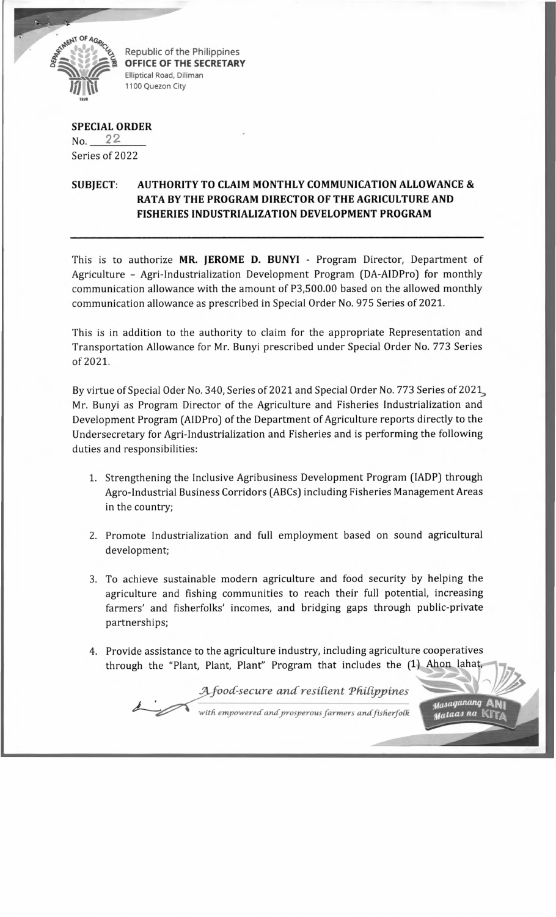

Republic of the Philippines **OFFICE OF THE SECRETARY** Elliptical Road, Diliman 1100 Quezon City

## **SPECIAL ORDER**

 $No. 22$ Series of 2022

## **SUBJECT: AUTHORITY TO CLAIM MONTHLY COMMUNICATION ALLOWANCE & RATA BY THE PROGRAM DIRECTOR OF THE AGRICULTURE AND FISHERIES INDUSTRIALIZATION DEVELOPMENT PROGRAM**

This is to authorize **MR. JEROME D. BUNYI** - Program Director, Department of Agriculture - Agri-Industrialization Development Program (DA-AIDPro) for monthly communication allowance with the amount of P3,500.00 based on the allowed monthly communication allowance as prescribed in Special Order No. 975 Series of 2021.

This is in addition to the authority to claim for the appropriate Representation and Transportation Allowance for Mr. Bunyi prescribed under Special Order No. 773 Series of 2021.

By virtue of Special Oder No. 340, Series of 2021 and Special Order No. 773 Series of 2021, Mr. Bunyi as Program Director of the Agriculture and Fisheries Industrialization and Development Program (AIDPro) of the Department of Agriculture reports directly to the Undersecretary for Agri-Industrialization and Fisheries and is performing the following duties and responsibilities:

- 1. Strengthening the Inclusive Agribusiness Development Program (IADP) through Agro-Industrial Business Corridors (ABCs) including Fisheries Management Areas in the country;
- 2. Promote Industrialization and full employment based on sound agricultural development;
- 3. To achieve sustainable modern agriculture and food security by helping the agriculture and fishing communities to reach their full potential, increasing farmers' and fisherfolks' incomes, and bridging gaps through public-private partnerships;
- 4. Provide assistance to the agriculture industry, including agriculture cooperatives through the "Plant, Plant, Plant" Program that includes the (1) Ahon lahat,

*food-secure a n d resident Tddipjtines*

Masaganang masa ya na |

*with empowered*' *andprosperous farmers andfisherfoCk*